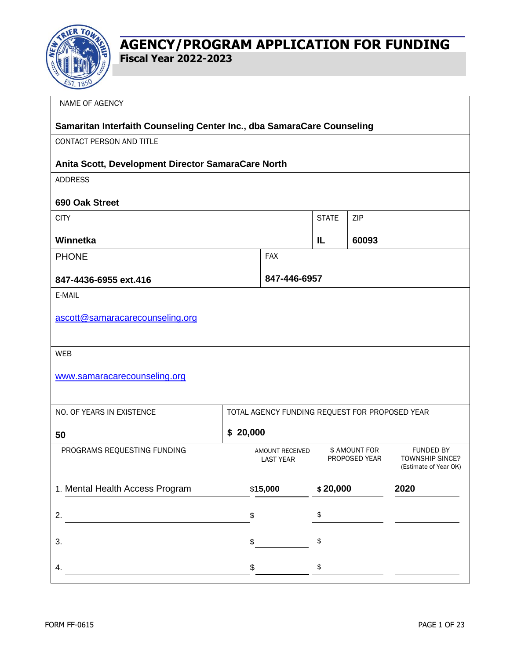

| NAME OF AGENCY                                                         |                                                |                                           |                                |                                                                     |
|------------------------------------------------------------------------|------------------------------------------------|-------------------------------------------|--------------------------------|---------------------------------------------------------------------|
| Samaritan Interfaith Counseling Center Inc., dba SamaraCare Counseling |                                                |                                           |                                |                                                                     |
| CONTACT PERSON AND TITLE                                               |                                                |                                           |                                |                                                                     |
| Anita Scott, Development Director SamaraCare North                     |                                                |                                           |                                |                                                                     |
| <b>ADDRESS</b>                                                         |                                                |                                           |                                |                                                                     |
| 690 Oak Street                                                         |                                                |                                           |                                |                                                                     |
| <b>CITY</b>                                                            |                                                | <b>STATE</b>                              | ZIP                            |                                                                     |
| Winnetka                                                               |                                                | IL                                        | 60093                          |                                                                     |
| <b>PHONE</b>                                                           | <b>FAX</b>                                     |                                           |                                |                                                                     |
| 847-4436-6955 ext.416                                                  | 847-446-6957                                   |                                           |                                |                                                                     |
| E-MAIL                                                                 |                                                |                                           |                                |                                                                     |
| ascott@samaracarecounseling.org                                        |                                                |                                           |                                |                                                                     |
|                                                                        |                                                |                                           |                                |                                                                     |
| <b>WEB</b>                                                             |                                                |                                           |                                |                                                                     |
| www.samaracarecounseling.org                                           |                                                |                                           |                                |                                                                     |
|                                                                        |                                                |                                           |                                |                                                                     |
| NO. OF YEARS IN EXISTENCE                                              | TOTAL AGENCY FUNDING REQUEST FOR PROPOSED YEAR |                                           |                                |                                                                     |
| 50                                                                     | \$20,000                                       |                                           |                                |                                                                     |
| PROGRAMS REQUESTING FUNDING                                            | AMOUNT RECEIVED<br><b>LAST YEAR</b>            |                                           | \$ AMOUNT FOR<br>PROPOSED YEAR | <b>FUNDED BY</b><br><b>TOWNSHIP SINCE?</b><br>(Estimate of Year OK) |
| 1. Mental Health Access Program                                        | \$15,000                                       | \$20,000                                  |                                | 2020                                                                |
| 2.                                                                     | \$                                             | $\pmb{\$}$                                |                                |                                                                     |
| 3.                                                                     | \$                                             | $\, \, \raisebox{12pt}{$\scriptstyle \$}$ |                                |                                                                     |
| 4.                                                                     | \$                                             | $\, \, \raisebox{12pt}{$\scriptstyle \$}$ |                                |                                                                     |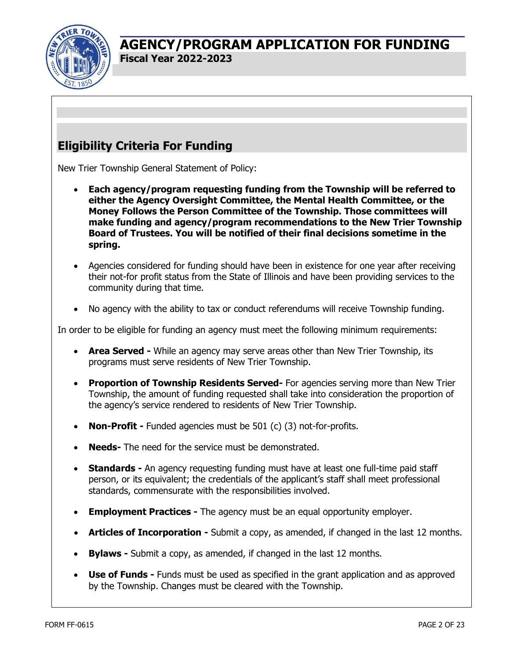

# **Eligibility Criteria For Funding**

New Trier Township General Statement of Policy:

- **Each agency/program requesting funding from the Township will be referred to either the Agency Oversight Committee, the Mental Health Committee, or the Money Follows the Person Committee of the Township. Those committees will make funding and agency/program recommendations to the New Trier Township Board of Trustees. You will be notified of their final decisions sometime in the spring.**
- Agencies considered for funding should have been in existence for one year after receiving their not-for profit status from the State of Illinois and have been providing services to the community during that time.
- No agency with the ability to tax or conduct referendums will receive Township funding.

In order to be eligible for funding an agency must meet the following minimum requirements:

- **Area Served -** While an agency may serve areas other than New Trier Township, its programs must serve residents of New Trier Township.
- **Proportion of Township Residents Served-** For agencies serving more than New Trier Township, the amount of funding requested shall take into consideration the proportion of the agency's service rendered to residents of New Trier Township.
- **Non-Profit -** Funded agencies must be 501 (c) (3) not-for-profits.
- **Needs-** The need for the service must be demonstrated.
- **Standards -** An agency requesting funding must have at least one full-time paid staff person, or its equivalent; the credentials of the applicant's staff shall meet professional standards, commensurate with the responsibilities involved.
- **Employment Practices -** The agency must be an equal opportunity employer.
- **Articles of Incorporation -** Submit a copy, as amended, if changed in the last 12 months.
- **Bylaws -** Submit a copy, as amended, if changed in the last 12 months.
- **Use of Funds -** Funds must be used as specified in the grant application and as approved by the Township. Changes must be cleared with the Township.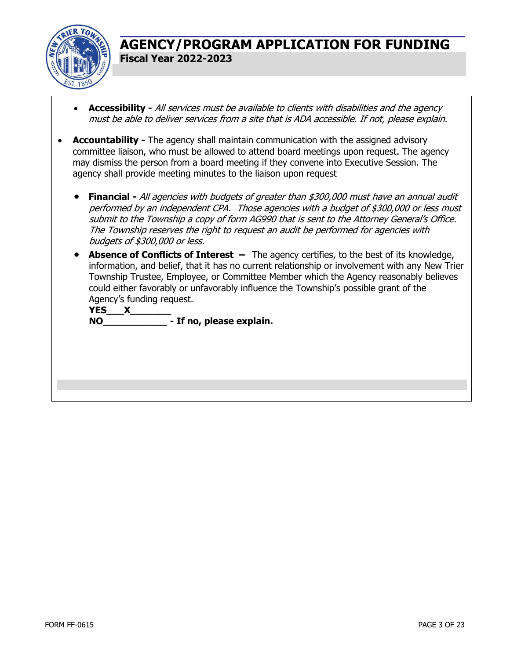

- **Accessibility -** All services must be available to clients with disabilities and the agency must be able to deliver services from a site that is ADA accessible. If not, please explain.
- **Accountability -** The agency shall maintain communication with the assigned advisory committee liaison, who must be allowed to attend board meetings upon request. The agency may dismiss the person from a board meeting if they convene into Executive Session. The agency shall provide meeting minutes to the liaison upon request
	- **Financial -** All agencies with budgets of greater than \$300,000 must have an annual audit performed by an independent CPA. Those agencies with a budget of \$300,000 or less must submit to the Township a copy of form AG990 that is sent to the Attorney General's Office. The Township reserves the right to request an audit be performed for agencies with budgets of \$300,000 or less.
	- **Absence of Conflicts of Interest –** The agency certifies, to the best of its knowledge, information, and belief, that it has no current relationship or involvement with any New Trier Township Trustee, Employee, or Committee Member which the Agency reasonably believes could either favorably or unfavorably influence the Township's possible grant of the Agency's funding request.

**YES X NO\_\_\_\_\_\_\_\_\_\_\_ - If no, please explain.**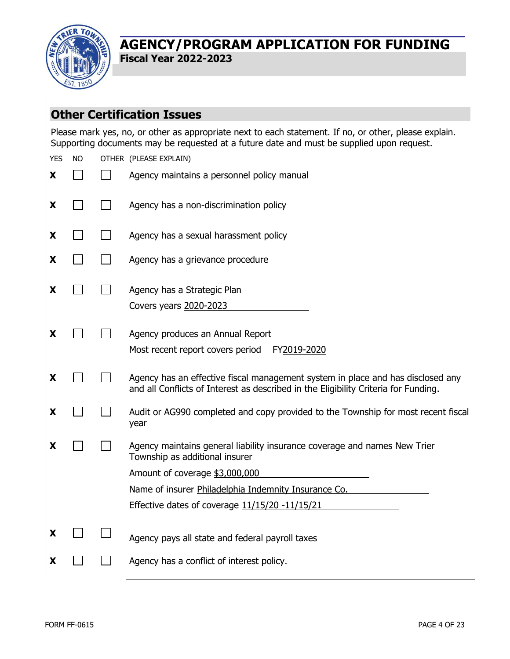

|            |           | <b>Other Certification Issues</b>                                                                                                                                                                  |
|------------|-----------|----------------------------------------------------------------------------------------------------------------------------------------------------------------------------------------------------|
|            |           | Please mark yes, no, or other as appropriate next to each statement. If no, or other, please explain.<br>Supporting documents may be requested at a future date and must be supplied upon request. |
| <b>YES</b> | <b>NO</b> | OTHER (PLEASE EXPLAIN)                                                                                                                                                                             |
| X          |           | Agency maintains a personnel policy manual                                                                                                                                                         |
| X          |           | Agency has a non-discrimination policy                                                                                                                                                             |
| X          |           | Agency has a sexual harassment policy                                                                                                                                                              |
| X          |           | Agency has a grievance procedure                                                                                                                                                                   |
| X          |           | Agency has a Strategic Plan                                                                                                                                                                        |
|            |           | Covers years 2020-2023                                                                                                                                                                             |
| X          |           | Agency produces an Annual Report<br>Most recent report covers period<br>FY2019-2020                                                                                                                |
| X          |           | Agency has an effective fiscal management system in place and has disclosed any<br>and all Conflicts of Interest as described in the Eligibility Criteria for Funding.                             |
| X          |           | Audit or AG990 completed and copy provided to the Township for most recent fiscal<br>year                                                                                                          |
| X          |           | Agency maintains general liability insurance coverage and names New Trier<br>Township as additional insurer                                                                                        |
|            |           | Amount of coverage \$3,000,000                                                                                                                                                                     |
|            |           | Name of insurer Philadelphia Indemnity Insurance Co.                                                                                                                                               |
|            |           | Effective dates of coverage 11/15/20 -11/15/21                                                                                                                                                     |
| X          |           | Agency pays all state and federal payroll taxes                                                                                                                                                    |
| X          |           | Agency has a conflict of interest policy.                                                                                                                                                          |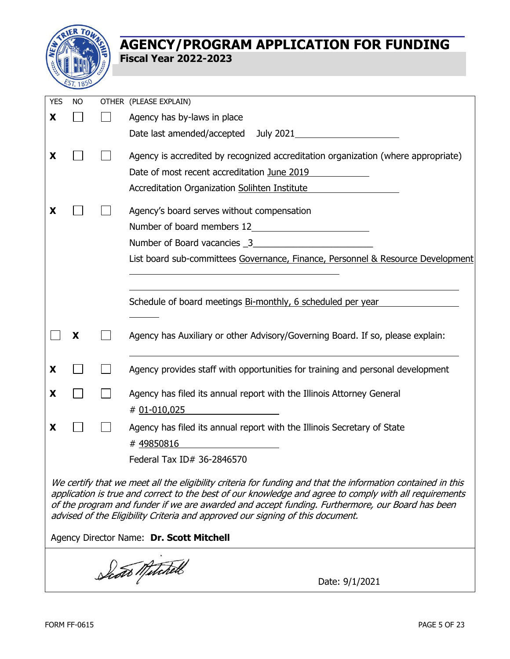

| <b>YES</b> | <b>NO</b> | OTHER (PLEASE EXPLAIN)                                                                                      |
|------------|-----------|-------------------------------------------------------------------------------------------------------------|
| X          |           | Agency has by-laws in place                                                                                 |
|            |           | Date last amended/accepted July 2021                                                                        |
| X          |           | Agency is accredited by recognized accreditation organization (where appropriate)                           |
|            |           | Date of most recent accreditation June 2019                                                                 |
|            |           | Accreditation Organization Solihten Institute                                                               |
| x          |           | Agency's board serves without compensation                                                                  |
|            |           | Number of board members 12                                                                                  |
|            |           | Number of Board vacancies 3                                                                                 |
|            |           | List board sub-committees Governance, Finance, Personnel & Resource Development                             |
|            |           |                                                                                                             |
|            |           |                                                                                                             |
|            |           | Schedule of board meetings Bi-monthly, 6 scheduled per year                                                 |
|            |           |                                                                                                             |
|            | X         | Agency has Auxiliary or other Advisory/Governing Board. If so, please explain:                              |
| X          |           | Agency provides staff with opportunities for training and personal development                              |
| X          |           | Agency has filed its annual report with the Illinois Attorney General                                       |
|            |           | # 01-010,025                                                                                                |
| X          |           | Agency has filed its annual report with the Illinois Secretary of State                                     |
|            |           | #49850816                                                                                                   |
|            |           | Federal Tax ID# 36-2846570                                                                                  |
|            |           | We certify that we meet all the eligibility criteria for funding and that the information contained in thic |

We certify that we meet all the eligibility criteria for funding and that the information contained in this application is true and correct to the best of our knowledge and agree to comply with all requirements of the program and funder if we are awarded and accept funding. Furthermore, our Board has been advised of the Eligibility Criteria and approved our signing of this document.

Agency Director Name: **Dr. Scott Mitchell**

Scots Mitchell Date: 9/1/2021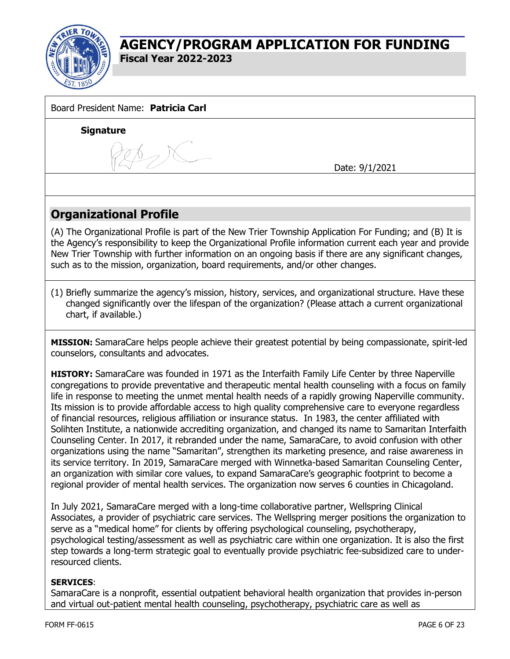

| Board President Name: Patricia Carl                                                                                                                                                                                                                                                                                                                                                                                                                                                                                                                                                                                                                                                                                                                                                                                                                                                                                                                                                                                                                                                                                                                                            |                |
|--------------------------------------------------------------------------------------------------------------------------------------------------------------------------------------------------------------------------------------------------------------------------------------------------------------------------------------------------------------------------------------------------------------------------------------------------------------------------------------------------------------------------------------------------------------------------------------------------------------------------------------------------------------------------------------------------------------------------------------------------------------------------------------------------------------------------------------------------------------------------------------------------------------------------------------------------------------------------------------------------------------------------------------------------------------------------------------------------------------------------------------------------------------------------------|----------------|
| <b>Signature</b>                                                                                                                                                                                                                                                                                                                                                                                                                                                                                                                                                                                                                                                                                                                                                                                                                                                                                                                                                                                                                                                                                                                                                               |                |
|                                                                                                                                                                                                                                                                                                                                                                                                                                                                                                                                                                                                                                                                                                                                                                                                                                                                                                                                                                                                                                                                                                                                                                                |                |
|                                                                                                                                                                                                                                                                                                                                                                                                                                                                                                                                                                                                                                                                                                                                                                                                                                                                                                                                                                                                                                                                                                                                                                                | Date: 9/1/2021 |
|                                                                                                                                                                                                                                                                                                                                                                                                                                                                                                                                                                                                                                                                                                                                                                                                                                                                                                                                                                                                                                                                                                                                                                                |                |
|                                                                                                                                                                                                                                                                                                                                                                                                                                                                                                                                                                                                                                                                                                                                                                                                                                                                                                                                                                                                                                                                                                                                                                                |                |
| <b>Organizational Profile</b>                                                                                                                                                                                                                                                                                                                                                                                                                                                                                                                                                                                                                                                                                                                                                                                                                                                                                                                                                                                                                                                                                                                                                  |                |
| (A) The Organizational Profile is part of the New Trier Township Application For Funding; and (B) It is<br>the Agency's responsibility to keep the Organizational Profile information current each year and provide<br>New Trier Township with further information on an ongoing basis if there are any significant changes,<br>such as to the mission, organization, board requirements, and/or other changes.                                                                                                                                                                                                                                                                                                                                                                                                                                                                                                                                                                                                                                                                                                                                                                |                |
| (1) Briefly summarize the agency's mission, history, services, and organizational structure. Have these<br>changed significantly over the lifespan of the organization? (Please attach a current organizational<br>chart, if available.)                                                                                                                                                                                                                                                                                                                                                                                                                                                                                                                                                                                                                                                                                                                                                                                                                                                                                                                                       |                |
| MISSION: SamaraCare helps people achieve their greatest potential by being compassionate, spirit-led<br>counselors, consultants and advocates.                                                                                                                                                                                                                                                                                                                                                                                                                                                                                                                                                                                                                                                                                                                                                                                                                                                                                                                                                                                                                                 |                |
| HISTORY: SamaraCare was founded in 1971 as the Interfaith Family Life Center by three Naperville<br>congregations to provide preventative and therapeutic mental health counseling with a focus on family<br>life in response to meeting the unmet mental health needs of a rapidly growing Naperville community.<br>Its mission is to provide affordable access to high quality comprehensive care to everyone regardless<br>of financial resources, religious affiliation or insurance status. In 1983, the center affiliated with<br>Solihten Institute, a nationwide accrediting organization, and changed its name to Samaritan Interfaith<br>Counseling Center. In 2017, it rebranded under the name, SamaraCare, to avoid confusion with other<br>organizations using the name "Samaritan", strengthen its marketing presence, and raise awareness in<br>its service territory. In 2019, SamaraCare merged with Winnetka-based Samaritan Counseling Center,<br>an organization with similar core values, to expand SamaraCare's geographic footprint to become a<br>regional provider of mental health services. The organization now serves 6 counties in Chicagoland. |                |
| In July 2021, SamaraCare merged with a long-time collaborative partner, Wellspring Clinical<br>Associates, a provider of psychiatric care services. The Wellspring merger positions the organization to<br>serve as a "medical home" for clients by offering psychological counseling, psychotherapy,<br>psychological testing/assessment as well as psychiatric care within one organization. It is also the first<br>step towards a long-term strategic goal to eventually provide psychiatric fee-subsidized care to under-<br>resourced clients.                                                                                                                                                                                                                                                                                                                                                                                                                                                                                                                                                                                                                           |                |
| <b>SERVICES:</b><br>SamaraCare is a nonprofit, essential outpatient behavioral health organization that provides in-person<br>and virtual out-patient mental health counseling, psychotherapy, psychiatric care as well as                                                                                                                                                                                                                                                                                                                                                                                                                                                                                                                                                                                                                                                                                                                                                                                                                                                                                                                                                     |                |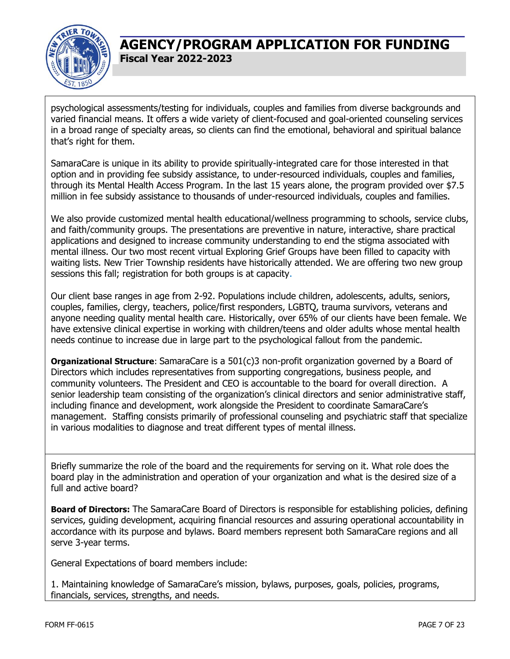

psychological assessments/testing for individuals, couples and families from diverse backgrounds and varied financial means. It offers a wide variety of client-focused and goal-oriented counseling services in a broad range of specialty areas, so clients can find the emotional, behavioral and spiritual balance that's right for them.

SamaraCare is unique in its ability to provide spiritually-integrated care for those interested in that option and in providing fee subsidy assistance, to under-resourced individuals, couples and families, through its Mental Health Access Program. In the last 15 years alone, the program provided over \$7.5 million in fee subsidy assistance to thousands of under-resourced individuals, couples and families.

We also provide customized mental health educational/wellness programming to schools, service clubs, and faith/community groups. The presentations are preventive in nature, interactive, share practical applications and designed to increase community understanding to end the stigma associated with mental illness. Our two most recent virtual Exploring Grief Groups have been filled to capacity with waiting lists. New Trier Township residents have historically attended. We are offering two new group sessions this fall; registration for both groups is at capacity.

Our client base ranges in age from 2-92. Populations include children, adolescents, adults, seniors, couples, families, clergy, teachers, police/first responders, LGBTQ, trauma survivors, veterans and anyone needing quality mental health care. Historically, over 65% of our clients have been female. We have extensive clinical expertise in working with children/teens and older adults whose mental health needs continue to increase due in large part to the psychological fallout from the pandemic.

**Organizational Structure**: SamaraCare is a 501(c)3 non-profit organization governed by a Board of Directors which includes representatives from supporting congregations, business people, and community volunteers. The President and CEO is accountable to the board for overall direction. A senior leadership team consisting of the organization's clinical directors and senior administrative staff, including finance and development, work alongside the President to coordinate SamaraCare's management. Staffing consists primarily of professional counseling and psychiatric staff that specialize in various modalities to diagnose and treat different types of mental illness.

Briefly summarize the role of the board and the requirements for serving on it. What role does the board play in the administration and operation of your organization and what is the desired size of a full and active board?

**Board of Directors:** The SamaraCare Board of Directors is responsible for establishing policies, defining services, guiding development, acquiring financial resources and assuring operational accountability in accordance with its purpose and bylaws. Board members represent both SamaraCare regions and all serve 3-year terms.

General Expectations of board members include:

1. Maintaining knowledge of SamaraCare's mission, bylaws, purposes, goals, policies, programs, financials, services, strengths, and needs.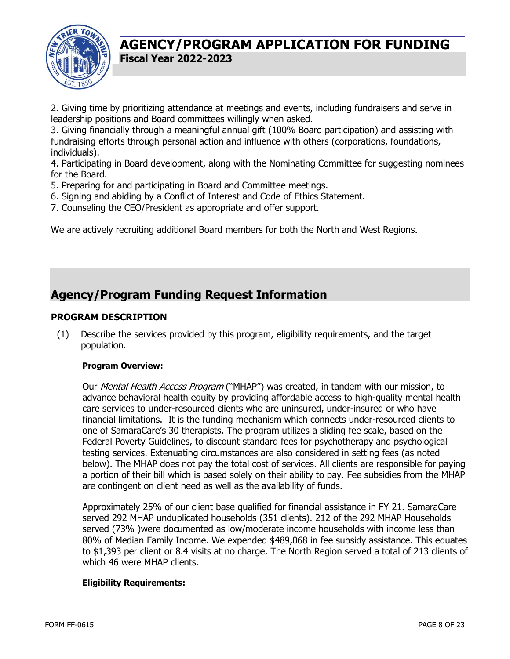

2. Giving time by prioritizing attendance at meetings and events, including fundraisers and serve in leadership positions and Board committees willingly when asked.

3. Giving financially through a meaningful annual gift (100% Board participation) and assisting with fundraising efforts through personal action and influence with others (corporations, foundations, individuals).

4. Participating in Board development, along with the Nominating Committee for suggesting nominees for the Board.

- 5. Preparing for and participating in Board and Committee meetings.
- 6. Signing and abiding by a Conflict of Interest and Code of Ethics Statement.
- 7. Counseling the CEO/President as appropriate and offer support.

We are actively recruiting additional Board members for both the North and West Regions.

# **Agency/Program Funding Request Information**

#### **PROGRAM DESCRIPTION**

(1) Describe the services provided by this program, eligibility requirements, and the target population.

#### **Program Overview:**

Our Mental Health Access Program ("MHAP") was created, in tandem with our mission, to advance behavioral health equity by providing affordable access to high-quality mental health care services to under-resourced clients who are uninsured, under-insured or who have financial limitations. It is the funding mechanism which connects under-resourced clients to one of SamaraCare's 30 therapists. The program utilizes a sliding fee scale, based on the Federal Poverty Guidelines, to discount standard fees for psychotherapy and psychological testing services. Extenuating circumstances are also considered in setting fees (as noted below). The MHAP does not pay the total cost of services. All clients are responsible for paying a portion of their bill which is based solely on their ability to pay. Fee subsidies from the MHAP are contingent on client need as well as the availability of funds.

Approximately 25% of our client base qualified for financial assistance in FY 21. SamaraCare served 292 MHAP unduplicated households (351 clients). 212 of the 292 MHAP Households served (73% )were documented as low/moderate income households with income less than 80% of Median Family Income. We expended \$489,068 in fee subsidy assistance. This equates to \$1,393 per client or 8.4 visits at no charge. The North Region served a total of 213 clients of which 46 were MHAP clients.

#### **Eligibility Requirements:**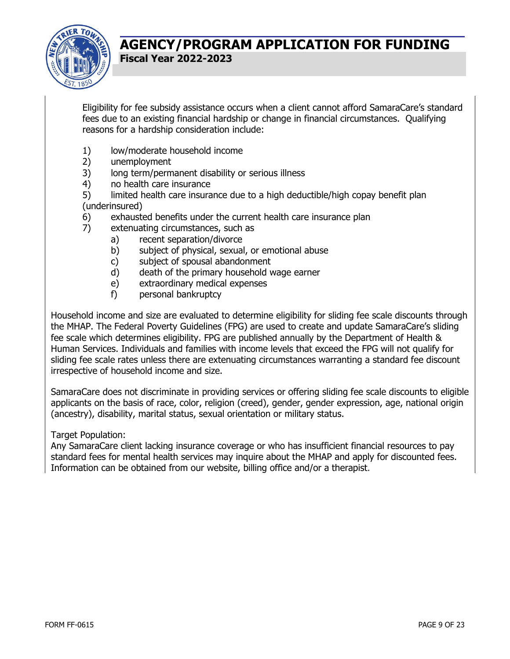

Eligibility for fee subsidy assistance occurs when a client cannot afford SamaraCare's standard fees due to an existing financial hardship or change in financial circumstances. Qualifying reasons for a hardship consideration include:

- 1) low/moderate household income
- 2) unemployment
- 3) long term/permanent disability or serious illness
- 4) no health care insurance
- 5) limited health care insurance due to a high deductible/high copay benefit plan (underinsured)
- 6) exhausted benefits under the current health care insurance plan
- 7) extenuating circumstances, such as
	- a) recent separation/divorce
	- b) subject of physical, sexual, or emotional abuse
	- c) subject of spousal abandonment
	- d) death of the primary household wage earner
	- e) extraordinary medical expenses
	- f) personal bankruptcy

Household income and size are evaluated to determine eligibility for sliding fee scale discounts through the MHAP. The Federal Poverty Guidelines (FPG) are used to create and update SamaraCare's sliding fee scale which determines eligibility. FPG are published annually by the Department of Health & Human Services. Individuals and families with income levels that exceed the FPG will not qualify for sliding fee scale rates unless there are extenuating circumstances warranting a standard fee discount irrespective of household income and size.

SamaraCare does not discriminate in providing services or offering sliding fee scale discounts to eligible applicants on the basis of race, color, religion (creed), gender, gender expression, age, national origin (ancestry), disability, marital status, sexual orientation or military status.

#### Target Population:

Any SamaraCare client lacking insurance coverage or who has insufficient financial resources to pay standard fees for mental health services may inquire about the MHAP and apply for discounted fees. Information can be obtained from our website, billing office and/or a therapist.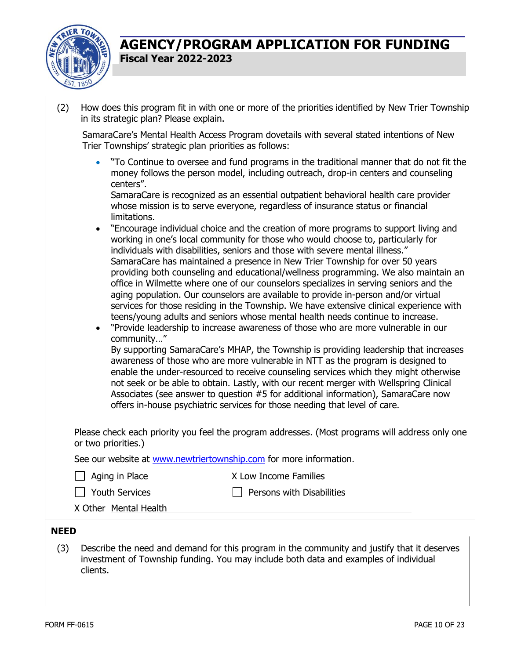

| (2)                | in its strategic plan? Please explain.                                         | How does this program fit in with one or more of the priorities identified by New Trier Township                                                                                                                                                                                                                                                                                                                                                                                                                                                                                                                                                                                                                                                                                                                                                                                                                                                                                                                                                                                                                                                                                                                                                                                                                                                                                                                                                                                                                                                                                                                                                                                                                                                                             |
|--------------------|--------------------------------------------------------------------------------|------------------------------------------------------------------------------------------------------------------------------------------------------------------------------------------------------------------------------------------------------------------------------------------------------------------------------------------------------------------------------------------------------------------------------------------------------------------------------------------------------------------------------------------------------------------------------------------------------------------------------------------------------------------------------------------------------------------------------------------------------------------------------------------------------------------------------------------------------------------------------------------------------------------------------------------------------------------------------------------------------------------------------------------------------------------------------------------------------------------------------------------------------------------------------------------------------------------------------------------------------------------------------------------------------------------------------------------------------------------------------------------------------------------------------------------------------------------------------------------------------------------------------------------------------------------------------------------------------------------------------------------------------------------------------------------------------------------------------------------------------------------------------|
|                    | Trier Townships' strategic plan priorities as follows:                         | SamaraCare's Mental Health Access Program dovetails with several stated intentions of New                                                                                                                                                                                                                                                                                                                                                                                                                                                                                                                                                                                                                                                                                                                                                                                                                                                                                                                                                                                                                                                                                                                                                                                                                                                                                                                                                                                                                                                                                                                                                                                                                                                                                    |
|                    | $\bullet$<br>centers".<br>limitations.<br>$\bullet$<br>$\bullet$<br>community" | "To Continue to oversee and fund programs in the traditional manner that do not fit the<br>money follows the person model, including outreach, drop-in centers and counseling<br>SamaraCare is recognized as an essential outpatient behavioral health care provider<br>whose mission is to serve everyone, regardless of insurance status or financial<br>"Encourage individual choice and the creation of more programs to support living and<br>working in one's local community for those who would choose to, particularly for<br>individuals with disabilities, seniors and those with severe mental illness."<br>SamaraCare has maintained a presence in New Trier Township for over 50 years<br>providing both counseling and educational/wellness programming. We also maintain an<br>office in Wilmette where one of our counselors specializes in serving seniors and the<br>aging population. Our counselors are available to provide in-person and/or virtual<br>services for those residing in the Township. We have extensive clinical experience with<br>teens/young adults and seniors whose mental health needs continue to increase.<br>"Provide leadership to increase awareness of those who are more vulnerable in our<br>By supporting SamaraCare's MHAP, the Township is providing leadership that increases<br>awareness of those who are more vulnerable in NTT as the program is designed to<br>enable the under-resourced to receive counseling services which they might otherwise<br>not seek or be able to obtain. Lastly, with our recent merger with Wellspring Clinical<br>Associates (see answer to question #5 for additional information), SamaraCare now<br>offers in-house psychiatric services for those needing that level of care. |
|                    |                                                                                | Please check each priority you feel the program addresses. (Most programs will address only one                                                                                                                                                                                                                                                                                                                                                                                                                                                                                                                                                                                                                                                                                                                                                                                                                                                                                                                                                                                                                                                                                                                                                                                                                                                                                                                                                                                                                                                                                                                                                                                                                                                                              |
|                    | or two priorities.)                                                            |                                                                                                                                                                                                                                                                                                                                                                                                                                                                                                                                                                                                                                                                                                                                                                                                                                                                                                                                                                                                                                                                                                                                                                                                                                                                                                                                                                                                                                                                                                                                                                                                                                                                                                                                                                              |
|                    | See our website at www.newtriertownship.com for more information.              | X Low Income Families                                                                                                                                                                                                                                                                                                                                                                                                                                                                                                                                                                                                                                                                                                                                                                                                                                                                                                                                                                                                                                                                                                                                                                                                                                                                                                                                                                                                                                                                                                                                                                                                                                                                                                                                                        |
|                    | Aging in Place                                                                 |                                                                                                                                                                                                                                                                                                                                                                                                                                                                                                                                                                                                                                                                                                                                                                                                                                                                                                                                                                                                                                                                                                                                                                                                                                                                                                                                                                                                                                                                                                                                                                                                                                                                                                                                                                              |
|                    | <b>Youth Services</b><br>X Other Mental Health                                 | Persons with Disabilities                                                                                                                                                                                                                                                                                                                                                                                                                                                                                                                                                                                                                                                                                                                                                                                                                                                                                                                                                                                                                                                                                                                                                                                                                                                                                                                                                                                                                                                                                                                                                                                                                                                                                                                                                    |
|                    |                                                                                |                                                                                                                                                                                                                                                                                                                                                                                                                                                                                                                                                                                                                                                                                                                                                                                                                                                                                                                                                                                                                                                                                                                                                                                                                                                                                                                                                                                                                                                                                                                                                                                                                                                                                                                                                                              |
| <b>NEED</b><br>(3) | clients.                                                                       | Describe the need and demand for this program in the community and justify that it deserves<br>investment of Township funding. You may include both data and examples of individual                                                                                                                                                                                                                                                                                                                                                                                                                                                                                                                                                                                                                                                                                                                                                                                                                                                                                                                                                                                                                                                                                                                                                                                                                                                                                                                                                                                                                                                                                                                                                                                          |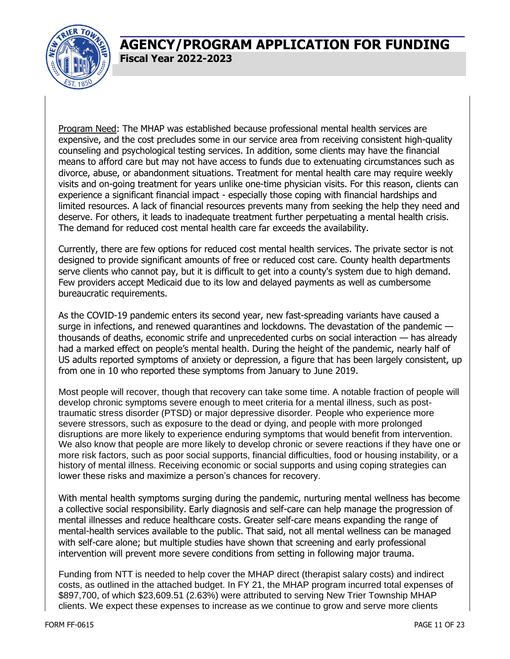

Program Need: The MHAP was established because professional mental health services are expensive, and the cost precludes some in our service area from receiving consistent high-quality counseling and psychological testing services. In addition, some clients may have the financial means to afford care but may not have access to funds due to extenuating circumstances such as divorce, abuse, or abandonment situations. Treatment for mental health care may require weekly visits and on-going treatment for years unlike one-time physician visits. For this reason, clients can experience a significant financial impact - especially those coping with financial hardships and limited resources. A lack of financial resources prevents many from seeking the help they need and deserve. For others, it leads to inadequate treatment further perpetuating a mental health crisis. The demand for reduced cost mental health care far exceeds the availability.

Currently, there are few options for reduced cost mental health services. The private sector is not designed to provide significant amounts of free or reduced cost care. County health departments serve clients who cannot pay, but it is difficult to get into a county's system due to high demand. Few providers accept Medicaid due to its low and delayed payments as well as cumbersome bureaucratic requirements.

As the COVID-19 pandemic enters its second year, new fast-spreading variants have caused a surge in infections, and renewed quarantines and lockdowns. The devastation of the pandemic thousands of deaths, economic strife and unprecedented curbs on social interaction — has already had a marked effect on people's mental health. During the height of the pandemic, nearly half of US adults reported symptoms of anxiety or depression, a figure that has been largely consistent, up from one in 10 who reported these symptoms from January to June 2019.

Most people will recover, though that recovery can take some time. A notable fraction of people will develop chronic symptoms severe enough to meet criteria for a mental illness, such as posttraumatic stress disorder (PTSD) or major depressive disorder. People who experience more severe stressors, such as exposure to the dead or dying, and people with more prolonged disruptions are more likely to experience enduring symptoms that would benefit from intervention. We also know that people are more likely to develop chronic or severe reactions if they have one or more risk factors, such as poor social supports, financial difficulties, food or housing instability, or a history of mental illness. Receiving economic or social supports and using coping strategies can lower these risks and maximize a person's chances for recovery.

With mental health symptoms surging during the pandemic, nurturing mental wellness has become a collective social responsibility. Early diagnosis and self-care can help manage the progression of mental illnesses and reduce healthcare costs. Greater self-care means expanding the range of mental-health services available to the public. That said, not all mental wellness can be managed with self-care alone; but multiple studies have shown that screening and early professional intervention will prevent more severe conditions from setting in following major trauma.

Funding from NTT is needed to help cover the MHAP direct (therapist salary costs) and indirect costs, as outlined in the attached budget. In FY 21, the MHAP program incurred total expenses of \$897,700, of which \$23,609.51 (2.63%) were attributed to serving New Trier Township MHAP clients. We expect these expenses to increase as we continue to grow and serve more clients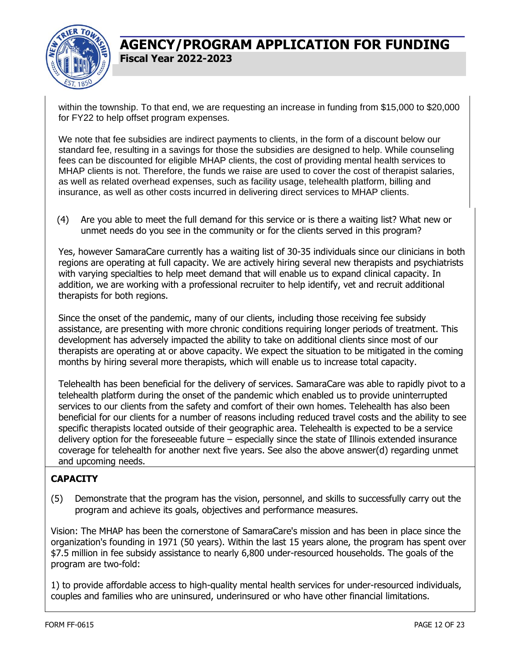

within the township. To that end, we are requesting an increase in funding from \$15,000 to \$20,000 for FY22 to help offset program expenses.

We note that fee subsidies are indirect payments to clients, in the form of a discount below our standard fee, resulting in a savings for those the subsidies are designed to help. While counseling fees can be discounted for eligible MHAP clients, the cost of providing mental health services to MHAP clients is not. Therefore, the funds we raise are used to cover the cost of therapist salaries, as well as related overhead expenses, such as facility usage, telehealth platform, billing and insurance, as well as other costs incurred in delivering direct services to MHAP clients.

(4) Are you able to meet the full demand for this service or is there a waiting list? What new or unmet needs do you see in the community or for the clients served in this program?

Yes, however SamaraCare currently has a waiting list of 30-35 individuals since our clinicians in both regions are operating at full capacity. We are actively hiring several new therapists and psychiatrists with varying specialties to help meet demand that will enable us to expand clinical capacity. In addition, we are working with a professional recruiter to help identify, vet and recruit additional therapists for both regions.

Since the onset of the pandemic, many of our clients, including those receiving fee subsidy assistance, are presenting with more chronic conditions requiring longer periods of treatment. This development has adversely impacted the ability to take on additional clients since most of our therapists are operating at or above capacity. We expect the situation to be mitigated in the coming months by hiring several more therapists, which will enable us to increase total capacity.

Telehealth has been beneficial for the delivery of services. SamaraCare was able to rapidly pivot to a telehealth platform during the onset of the pandemic which enabled us to provide uninterrupted services to our clients from the safety and comfort of their own homes. Telehealth has also been beneficial for our clients for a number of reasons including reduced travel costs and the ability to see specific therapists located outside of their geographic area. Telehealth is expected to be a service delivery option for the foreseeable future – especially since the state of Illinois extended insurance coverage for telehealth for another next five years. See also the above answer(d) regarding unmet and upcoming needs.

### **CAPACITY**

(5) Demonstrate that the program has the vision, personnel, and skills to successfully carry out the program and achieve its goals, objectives and performance measures.

Vision: The MHAP has been the cornerstone of SamaraCare's mission and has been in place since the organization's founding in 1971 (50 years). Within the last 15 years alone, the program has spent over \$7.5 million in fee subsidy assistance to nearly 6,800 under-resourced households. The goals of the program are two-fold:

1) to provide affordable access to high-quality mental health services for under-resourced individuals, couples and families who are uninsured, underinsured or who have other financial limitations.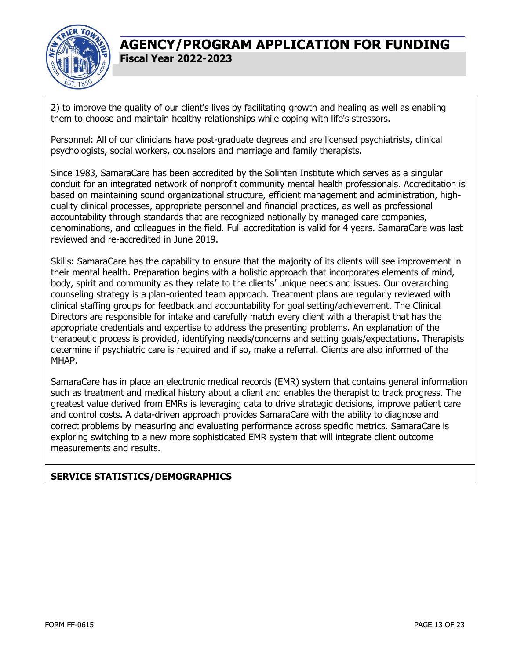

2) to improve the quality of our client's lives by facilitating growth and healing as well as enabling them to choose and maintain healthy relationships while coping with life's stressors.

Personnel: All of our clinicians have post-graduate degrees and are licensed psychiatrists, clinical psychologists, social workers, counselors and marriage and family therapists.

Since 1983, SamaraCare has been accredited by the Solihten Institute which serves as a singular conduit for an integrated network of nonprofit community mental health professionals. Accreditation is based on maintaining sound organizational structure, efficient management and administration, highquality clinical processes, appropriate personnel and financial practices, as well as professional accountability through standards that are recognized nationally by managed care companies, denominations, and colleagues in the field. Full accreditation is valid for 4 years. SamaraCare was last reviewed and re-accredited in June 2019.

Skills: SamaraCare has the capability to ensure that the majority of its clients will see improvement in their mental health. Preparation begins with a holistic approach that incorporates elements of mind, body, spirit and community as they relate to the clients' unique needs and issues. Our overarching counseling strategy is a plan-oriented team approach. Treatment plans are regularly reviewed with clinical staffing groups for feedback and accountability for goal setting/achievement. The Clinical Directors are responsible for intake and carefully match every client with a therapist that has the appropriate credentials and expertise to address the presenting problems. An explanation of the therapeutic process is provided, identifying needs/concerns and setting goals/expectations. Therapists determine if psychiatric care is required and if so, make a referral. Clients are also informed of the MHAP.

SamaraCare has in place an electronic medical records (EMR) system that contains general information such as treatment and medical history about a client and enables the therapist to track progress. The greatest value derived from EMRs is leveraging data to drive strategic decisions, improve patient care and control costs. A data-driven approach provides SamaraCare with the ability to diagnose and correct problems by measuring and evaluating performance across specific metrics. SamaraCare is exploring switching to a new more sophisticated EMR system that will integrate client outcome measurements and results.

### **SERVICE STATISTICS/DEMOGRAPHICS**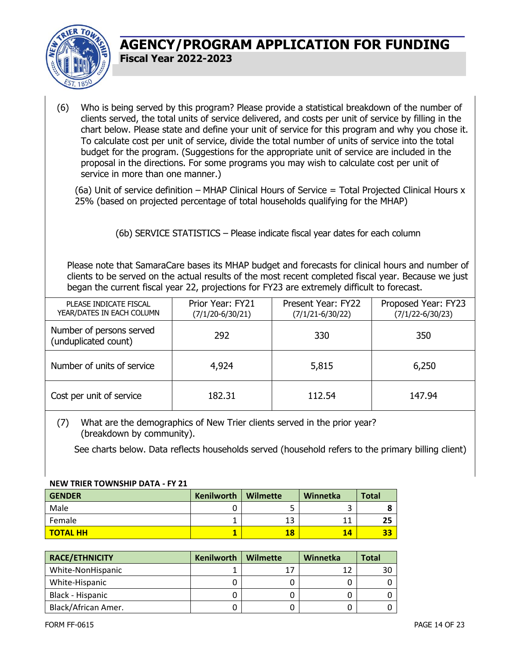

(6) Who is being served by this program? Please provide a statistical breakdown of the number of clients served, the total units of service delivered, and costs per unit of service by filling in the chart below. Please state and define your unit of service for this program and why you chose it. To calculate cost per unit of service, divide the total number of units of service into the total budget for the program. (Suggestions for the appropriate unit of service are included in the proposal in the directions. For some programs you may wish to calculate cost per unit of service in more than one manner.)

(6a) Unit of service definition – MHAP Clinical Hours of Service = Total Projected Clinical Hours x 25% (based on projected percentage of total households qualifying for the MHAP)

(6b) SERVICE STATISTICS – Please indicate fiscal year dates for each column

Please note that SamaraCare bases its MHAP budget and forecasts for clinical hours and number of clients to be served on the actual results of the most recent completed fiscal year. Because we just began the current fiscal year 22, projections for FY23 are extremely difficult to forecast.

| PLEASE INDICATE FISCAL<br>YEAR/DATES IN EACH COLUMN | Prior Year: FY21<br>$(7/1/20 - 6/30/21)$ | Present Year: FY22<br>$(7/1/21 - 6/30/22)$ | Proposed Year: FY23<br>$(7/1/22 - 6/30/23)$ |
|-----------------------------------------------------|------------------------------------------|--------------------------------------------|---------------------------------------------|
| Number of persons served<br>(unduplicated count)    | 292                                      | 330                                        | 350                                         |
| Number of units of service                          | 4,924                                    | 5,815                                      | 6,250                                       |
| Cost per unit of service                            | 182.31                                   | 112.54                                     | 147.94                                      |

#### (7) What are the demographics of New Trier clients served in the prior year? (breakdown by community).

See charts below. Data reflects households served (household refers to the primary billing client)

#### **NEW TRIER TOWNSHIP DATA - FY 21**

| <b>GENDER</b>           | Kenilworth | <b>Wilmette</b> | Winnetka | <b>Total</b> |
|-------------------------|------------|-----------------|----------|--------------|
| Male                    |            | -<br>ٮ          |          |              |
| Female                  |            | 13              | 11       | 25           |
| <mark>l TOTAL HH</mark> |            | 18              | 14       | 33           |

| <b>RACE/ETHNICITY</b> | <b>Kenilworth</b> | Wilmette | Winnetka | <b>Total</b> |
|-----------------------|-------------------|----------|----------|--------------|
| White-NonHispanic     |                   | 17       |          | 30           |
| White-Hispanic        |                   |          |          |              |
| Black - Hispanic      |                   |          |          |              |
| Black/African Amer.   |                   |          |          |              |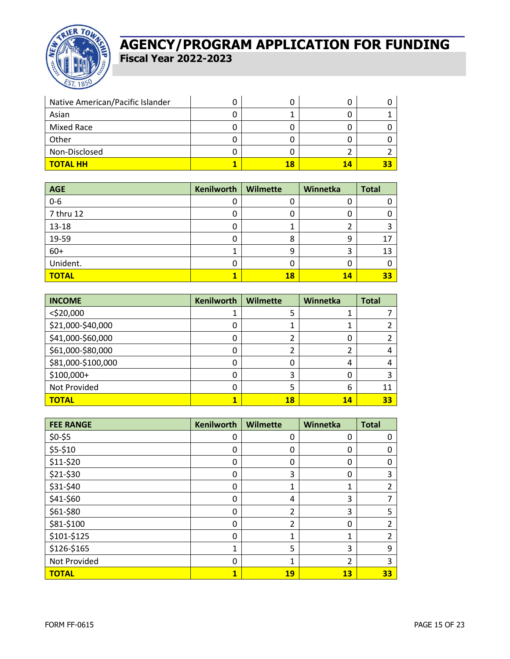

| Native American/Pacific Islander |    |    |  |
|----------------------------------|----|----|--|
| Asian                            |    |    |  |
| Mixed Race                       |    |    |  |
| Other                            |    |    |  |
| Non-Disclosed                    |    |    |  |
| <b>TOTAL HH</b>                  | 18 | 14 |  |

| <b>AGE</b>   | <b>Kenilworth</b> | <b>Wilmette</b> | Winnetka | <b>Total</b> |
|--------------|-------------------|-----------------|----------|--------------|
| $0-6$        | 0                 | U               | U        |              |
| 7 thru 12    | 0                 | U               | 0        |              |
| 13-18        | 0                 | J.              |          |              |
| 19-59        | 0                 | 8               | 9        | 17           |
| $60+$        | 1                 | 9               | 3        | 13           |
| Unident.     | 0                 | 0               | 0        |              |
| <b>TOTAL</b> | 1                 | 18              | 14       | 33           |

| <b>INCOME</b>      | <b>Kenilworth</b> | <b>Wilmette</b> | Winnetka | <b>Total</b> |
|--------------------|-------------------|-----------------|----------|--------------|
| $<$ \$20,000       |                   | 5               |          |              |
| \$21,000-\$40,000  | 0                 |                 |          |              |
| \$41,000-\$60,000  | 0                 |                 | 0        |              |
| \$61,000-\$80,000  | 0                 |                 |          | 4            |
| \$81,000-\$100,000 | 0                 | 0               | 4        | 4            |
| \$100,000+         | 0                 | 3               | 0        |              |
| Not Provided       | 0                 | 5               | 6        | 11           |
| <b>TOTAL</b>       | 1                 | 18              | 14       | 33           |

| <b>FEE RANGE</b> | <b>Kenilworth</b> | <b>Wilmette</b> | Winnetka       | <b>Total</b> |
|------------------|-------------------|-----------------|----------------|--------------|
| \$0-\$5          | 0                 | 0               | 0              | 0            |
| \$5-\$10         | 0                 | 0               | 0              | 0            |
| \$11-\$20        | 0                 | 0               | 0              | 0            |
| \$21-\$30        | 0                 | 3               | 0              | 3            |
| \$31-\$40        | 0                 | 1               | 1              | 2            |
| \$41-\$60        | 0                 | 4               | 3              | ⇁            |
| \$61-\$80        | 0                 | 2               | 3              | 5            |
| \$81-\$100       | 0                 | 2               | 0              | 2            |
| \$101-\$125      | 0                 | 1               | 1              | 2            |
| \$126-\$165      | $\mathbf 1$       | 5               | 3              | 9            |
| Not Provided     | 0                 | 1               | $\overline{2}$ | 3            |
| <b>TOTAL</b>     | $\mathbf{1}$      | 19              | 13             | 33           |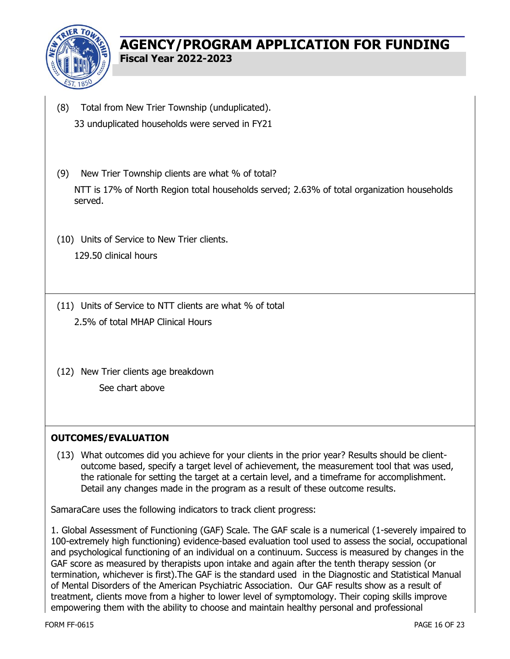

- (8) Total from New Trier Township (unduplicated). 33 unduplicated households were served in FY21
- (9) New Trier Township clients are what % of total? NTT is 17% of North Region total households served; 2.63% of total organization households served.
- (10) Units of Service to New Trier clients. 129.50 clinical hours
- (11) Units of Service to NTT clients are what % of total 2.5% of total MHAP Clinical Hours
- (12) New Trier clients age breakdown See chart above

### **OUTCOMES/EVALUATION**

(13) What outcomes did you achieve for your clients in the prior year? Results should be clientoutcome based, specify a target level of achievement, the measurement tool that was used, the rationale for setting the target at a certain level, and a timeframe for accomplishment. Detail any changes made in the program as a result of these outcome results.

SamaraCare uses the following indicators to track client progress:

1. Global Assessment of Functioning (GAF) Scale. The GAF scale is a numerical (1-severely impaired to 100-extremely high functioning) evidence-based evaluation tool used to assess the social, occupational and psychological functioning of an individual on a continuum. Success is measured by changes in the GAF score as measured by therapists upon intake and again after the tenth therapy session (or termination, whichever is first).The GAF is the standard used in the Diagnostic and Statistical Manual of Mental Disorders of the American Psychiatric Association. Our GAF results show as a result of treatment, clients move from a higher to lower level of symptomology. Their coping skills improve empowering them with the ability to choose and maintain healthy personal and professional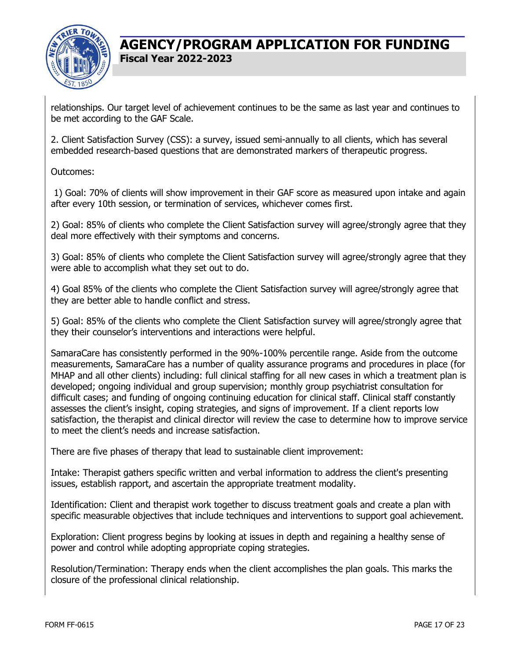

relationships. Our target level of achievement continues to be the same as last year and continues to be met according to the GAF Scale.

2. Client Satisfaction Survey (CSS): a survey, issued semi-annually to all clients, which has several embedded research-based questions that are demonstrated markers of therapeutic progress.

Outcomes:

1) Goal: 70% of clients will show improvement in their GAF score as measured upon intake and again after every 10th session, or termination of services, whichever comes first.

2) Goal: 85% of clients who complete the Client Satisfaction survey will agree/strongly agree that they deal more effectively with their symptoms and concerns.

3) Goal: 85% of clients who complete the Client Satisfaction survey will agree/strongly agree that they were able to accomplish what they set out to do.

4) Goal 85% of the clients who complete the Client Satisfaction survey will agree/strongly agree that they are better able to handle conflict and stress.

5) Goal: 85% of the clients who complete the Client Satisfaction survey will agree/strongly agree that they their counselor's interventions and interactions were helpful.

SamaraCare has consistently performed in the 90%-100% percentile range. Aside from the outcome measurements, SamaraCare has a number of quality assurance programs and procedures in place (for MHAP and all other clients) including: full clinical staffing for all new cases in which a treatment plan is developed; ongoing individual and group supervision; monthly group psychiatrist consultation for difficult cases; and funding of ongoing continuing education for clinical staff. Clinical staff constantly assesses the client's insight, coping strategies, and signs of improvement. If a client reports low satisfaction, the therapist and clinical director will review the case to determine how to improve service to meet the client's needs and increase satisfaction.

There are five phases of therapy that lead to sustainable client improvement:

Intake: Therapist gathers specific written and verbal information to address the client's presenting issues, establish rapport, and ascertain the appropriate treatment modality.

Identification: Client and therapist work together to discuss treatment goals and create a plan with specific measurable objectives that include techniques and interventions to support goal achievement.

Exploration: Client progress begins by looking at issues in depth and regaining a healthy sense of power and control while adopting appropriate coping strategies.

Resolution/Termination: Therapy ends when the client accomplishes the plan goals. This marks the closure of the professional clinical relationship.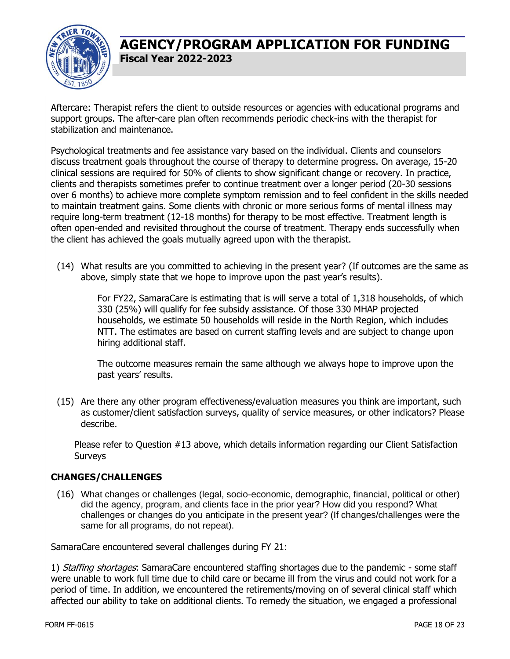

Aftercare: Therapist refers the client to outside resources or agencies with educational programs and support groups. The after-care plan often recommends periodic check-ins with the therapist for stabilization and maintenance.

Psychological treatments and fee assistance vary based on the individual. Clients and counselors discuss treatment goals throughout the course of therapy to determine progress. On average, 15-20 clinical sessions are required for 50% of clients to show significant change or recovery. In practice, clients and therapists sometimes prefer to continue treatment over a longer period (20-30 sessions over 6 months) to achieve more complete symptom remission and to feel confident in the skills needed to maintain treatment gains. Some clients with chronic or more serious forms of mental illness may require long-term treatment (12-18 months) for therapy to be most effective. Treatment length is often open-ended and revisited throughout the course of treatment. Therapy ends successfully when the client has achieved the goals mutually agreed upon with the therapist.

(14) What results are you committed to achieving in the present year? (If outcomes are the same as above, simply state that we hope to improve upon the past year's results).

For FY22, SamaraCare is estimating that is will serve a total of 1,318 households, of which 330 (25%) will qualify for fee subsidy assistance. Of those 330 MHAP projected households, we estimate 50 households will reside in the North Region, which includes NTT. The estimates are based on current staffing levels and are subject to change upon hiring additional staff.

The outcome measures remain the same although we always hope to improve upon the past years' results.

(15) Are there any other program effectiveness/evaluation measures you think are important, such as customer/client satisfaction surveys, quality of service measures, or other indicators? Please describe.

Please refer to Question #13 above, which details information regarding our Client Satisfaction **Surveys** 

### **CHANGES/CHALLENGES**

(16) What changes or challenges (legal, socio-economic, demographic, financial, political or other) did the agency, program, and clients face in the prior year? How did you respond? What challenges or changes do you anticipate in the present year? (If changes/challenges were the same for all programs, do not repeat).

SamaraCare encountered several challenges during FY 21:

1) Staffing shortages: SamaraCare encountered staffing shortages due to the pandemic - some staff were unable to work full time due to child care or became ill from the virus and could not work for a period of time. In addition, we encountered the retirements/moving on of several clinical staff which affected our ability to take on additional clients. To remedy the situation, we engaged a professional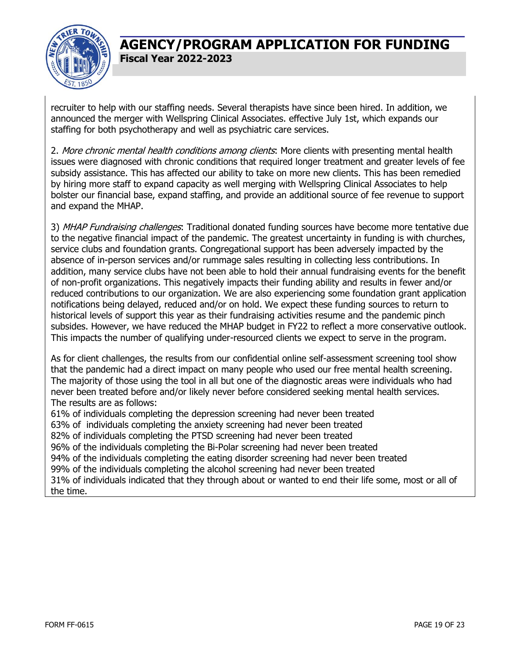

recruiter to help with our staffing needs. Several therapists have since been hired. In addition, we announced the merger with Wellspring Clinical Associates. effective July 1st, which expands our staffing for both psychotherapy and well as psychiatric care services.

2. More chronic mental health conditions among clients. More clients with presenting mental health issues were diagnosed with chronic conditions that required longer treatment and greater levels of fee subsidy assistance. This has affected our ability to take on more new clients. This has been remedied by hiring more staff to expand capacity as well merging with Wellspring Clinical Associates to help bolster our financial base, expand staffing, and provide an additional source of fee revenue to support and expand the MHAP.

3) MHAP Fundraising challenges: Traditional donated funding sources have become more tentative due to the negative financial impact of the pandemic. The greatest uncertainty in funding is with churches, service clubs and foundation grants. Congregational support has been adversely impacted by the absence of in-person services and/or rummage sales resulting in collecting less contributions. In addition, many service clubs have not been able to hold their annual fundraising events for the benefit of non-profit organizations. This negatively impacts their funding ability and results in fewer and/or reduced contributions to our organization. We are also experiencing some foundation grant application notifications being delayed, reduced and/or on hold. We expect these funding sources to return to historical levels of support this year as their fundraising activities resume and the pandemic pinch subsides. However, we have reduced the MHAP budget in FY22 to reflect a more conservative outlook. This impacts the number of qualifying under-resourced clients we expect to serve in the program.

As for client challenges, the results from our confidential online self-assessment screening tool show that the pandemic had a direct impact on many people who used our free mental health screening. The majority of those using the tool in all but one of the diagnostic areas were individuals who had never been treated before and/or likely never before considered seeking mental health services. The results are as follows:

61% of individuals completing the depression screening had never been treated 63% of individuals completing the anxiety screening had never been treated 82% of individuals completing the PTSD screening had never been treated 96% of the individuals completing the Bi-Polar screening had never been treated 94% of the individuals completing the eating disorder screening had never been treated 99% of the individuals completing the alcohol screening had never been treated 31% of individuals indicated that they through about or wanted to end their life some, most or all of the time.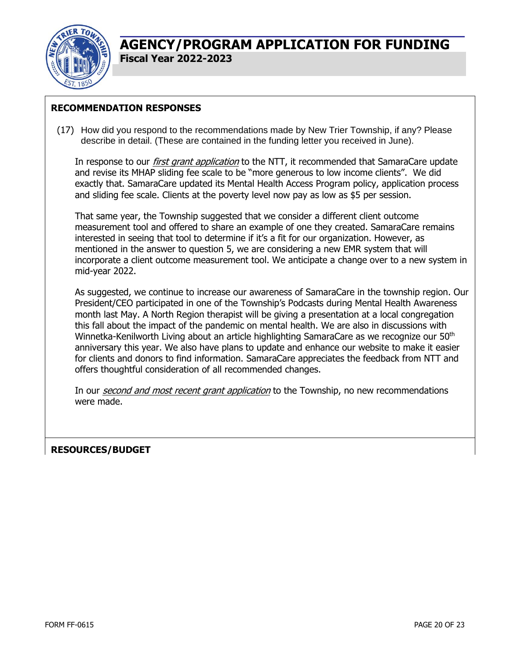

### **RECOMMENDATION RESPONSES**

(17) How did you respond to the recommendations made by New Trier Township, if any? Please describe in detail. (These are contained in the funding letter you received in June).

In response to our *first grant application* to the NTT, it recommended that SamaraCare update and revise its MHAP sliding fee scale to be "more generous to low income clients". We did exactly that. SamaraCare updated its Mental Health Access Program policy, application process and sliding fee scale. Clients at the poverty level now pay as low as \$5 per session.

That same year, the Township suggested that we consider a different client outcome measurement tool and offered to share an example of one they created. SamaraCare remains interested in seeing that tool to determine if it's a fit for our organization. However, as mentioned in the answer to question 5, we are considering a new EMR system that will incorporate a client outcome measurement tool. We anticipate a change over to a new system in mid-year 2022.

As suggested, we continue to increase our awareness of SamaraCare in the township region. Our President/CEO participated in one of the Township's Podcasts during Mental Health Awareness month last May. A North Region therapist will be giving a presentation at a local congregation this fall about the impact of the pandemic on mental health. We are also in discussions with Winnetka-Kenilworth Living about an article highlighting SamaraCare as we recognize our 50<sup>th</sup> anniversary this year. We also have plans to update and enhance our website to make it easier for clients and donors to find information. SamaraCare appreciates the feedback from NTT and offers thoughtful consideration of all recommended changes.

In our *second and most recent grant application* to the Township, no new recommendations were made.

### **RESOURCES/BUDGET**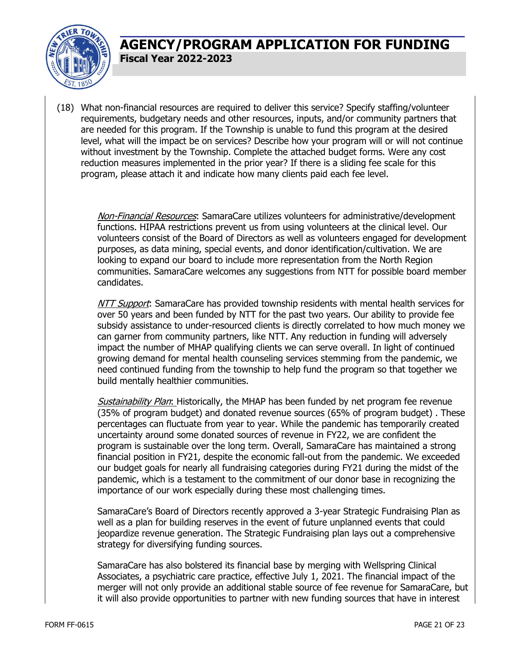

(18) What non-financial resources are required to deliver this service? Specify staffing/volunteer requirements, budgetary needs and other resources, inputs, and/or community partners that are needed for this program. If the Township is unable to fund this program at the desired level, what will the impact be on services? Describe how your program will or will not continue without investment by the Township. Complete the attached budget forms. Were any cost reduction measures implemented in the prior year? If there is a sliding fee scale for this program, please attach it and indicate how many clients paid each fee level.

Non-Financial Resources: SamaraCare utilizes volunteers for administrative/development functions. HIPAA restrictions prevent us from using volunteers at the clinical level. Our volunteers consist of the Board of Directors as well as volunteers engaged for development purposes, as data mining, special events, and donor identification/cultivation. We are looking to expand our board to include more representation from the North Region communities. SamaraCare welcomes any suggestions from NTT for possible board member candidates.

NTT Support: SamaraCare has provided township residents with mental health services for over 50 years and been funded by NTT for the past two years. Our ability to provide fee subsidy assistance to under-resourced clients is directly correlated to how much money we can garner from community partners, like NTT. Any reduction in funding will adversely impact the number of MHAP qualifying clients we can serve overall. In light of continued growing demand for mental health counseling services stemming from the pandemic, we need continued funding from the township to help fund the program so that together we build mentally healthier communities.

Sustainability Plan: Historically, the MHAP has been funded by net program fee revenue (35% of program budget) and donated revenue sources (65% of program budget) . These percentages can fluctuate from year to year. While the pandemic has temporarily created uncertainty around some donated sources of revenue in FY22, we are confident the program is sustainable over the long term. Overall, SamaraCare has maintained a strong financial position in FY21, despite the economic fall-out from the pandemic. We exceeded our budget goals for nearly all fundraising categories during FY21 during the midst of the pandemic, which is a testament to the commitment of our donor base in recognizing the importance of our work especially during these most challenging times.

SamaraCare's Board of Directors recently approved a 3-year Strategic Fundraising Plan as well as a plan for building reserves in the event of future unplanned events that could jeopardize revenue generation. The Strategic Fundraising plan lays out a comprehensive strategy for diversifying funding sources.

SamaraCare has also bolstered its financial base by merging with Wellspring Clinical Associates, a psychiatric care practice, effective July 1, 2021. The financial impact of the merger will not only provide an additional stable source of fee revenue for SamaraCare, but it will also provide opportunities to partner with new funding sources that have in interest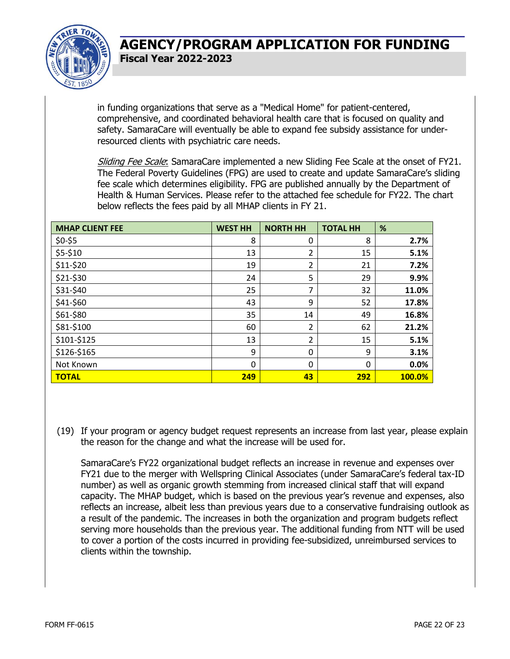

in funding organizations that serve as a "Medical Home" for patient-centered, comprehensive, and coordinated behavioral health care that is focused on quality and safety. SamaraCare will eventually be able to expand fee subsidy assistance for underresourced clients with psychiatric care needs.

Sliding Fee Scale: SamaraCare implemented a new Sliding Fee Scale at the onset of FY21. The Federal Poverty Guidelines (FPG) are used to create and update SamaraCare's sliding fee scale which determines eligibility. FPG are published annually by the Department of Health & Human Services. Please refer to the attached fee schedule for FY22. The chart below reflects the fees paid by all MHAP clients in FY 21.

| <b>MHAP CLIENT FEE</b> | <b>WEST HH</b> | <b>NORTH HH</b> | <b>TOTAL HH</b> | %      |
|------------------------|----------------|-----------------|-----------------|--------|
| $$0-$5$                | 8              | 0               | 8               | 2.7%   |
| \$5-\$10               | 13             | 2               | 15              | 5.1%   |
| \$11-\$20              | 19             | $\overline{2}$  | 21              | 7.2%   |
| \$21-\$30              | 24             | 5               | 29              | 9.9%   |
| \$31-\$40              | 25             | 7               | 32              | 11.0%  |
| \$41-\$60              | 43             | 9               | 52              | 17.8%  |
| \$61-\$80              | 35             | 14              | 49              | 16.8%  |
| \$81-\$100             | 60             | 2               | 62              | 21.2%  |
| \$101-\$125            | 13             | 2               | 15              | 5.1%   |
| \$126-\$165            | 9              | 0               | 9               | 3.1%   |
| Not Known              | $\mathbf 0$    | $\mathbf 0$     | 0               | 0.0%   |
| <b>TOTAL</b>           | 249            | 43              | 292             | 100.0% |

(19) If your program or agency budget request represents an increase from last year, please explain the reason for the change and what the increase will be used for.

SamaraCare's FY22 organizational budget reflects an increase in revenue and expenses over FY21 due to the merger with Wellspring Clinical Associates (under SamaraCare's federal tax-ID number) as well as organic growth stemming from increased clinical staff that will expand capacity. The MHAP budget, which is based on the previous year's revenue and expenses, also reflects an increase, albeit less than previous years due to a conservative fundraising outlook as a result of the pandemic. The increases in both the organization and program budgets reflect serving more households than the previous year. The additional funding from NTT will be used to cover a portion of the costs incurred in providing fee-subsidized, unreimbursed services to clients within the township.